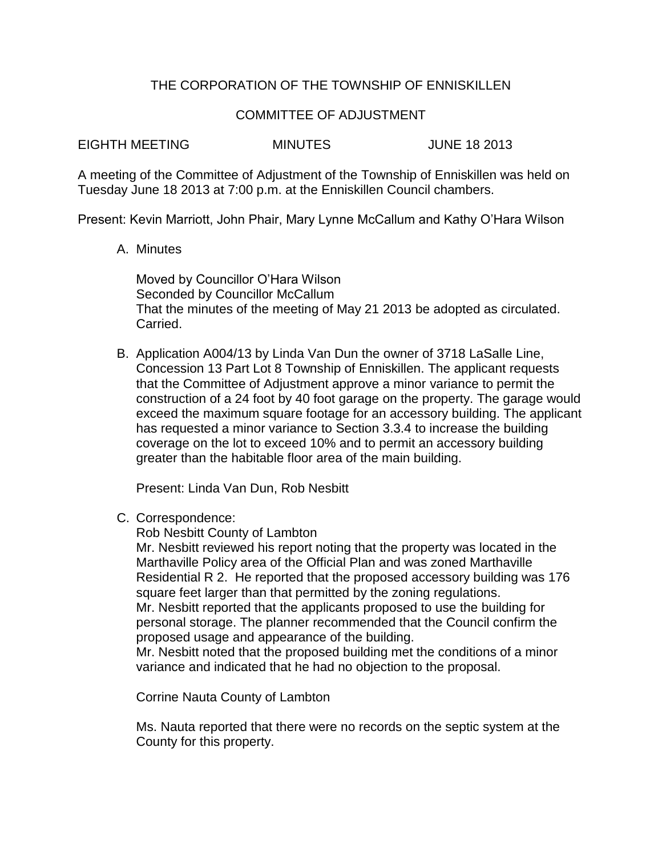# THE CORPORATION OF THE TOWNSHIP OF ENNISKILLEN

## COMMITTEE OF ADJUSTMENT

EIGHTH MEETING MINUTES JUNE 18 2013

A meeting of the Committee of Adjustment of the Township of Enniskillen was held on Tuesday June 18 2013 at 7:00 p.m. at the Enniskillen Council chambers.

Present: Kevin Marriott, John Phair, Mary Lynne McCallum and Kathy O'Hara Wilson

### A. Minutes

Moved by Councillor O'Hara Wilson Seconded by Councillor McCallum That the minutes of the meeting of May 21 2013 be adopted as circulated. Carried.

B. Application A004/13 by Linda Van Dun the owner of 3718 LaSalle Line, Concession 13 Part Lot 8 Township of Enniskillen. The applicant requests that the Committee of Adjustment approve a minor variance to permit the construction of a 24 foot by 40 foot garage on the property. The garage would exceed the maximum square footage for an accessory building. The applicant has requested a minor variance to Section 3.3.4 to increase the building coverage on the lot to exceed 10% and to permit an accessory building greater than the habitable floor area of the main building.

Present: Linda Van Dun, Rob Nesbitt

## C. Correspondence:

Rob Nesbitt County of Lambton

Mr. Nesbitt reviewed his report noting that the property was located in the Marthaville Policy area of the Official Plan and was zoned Marthaville Residential R 2. He reported that the proposed accessory building was 176 square feet larger than that permitted by the zoning regulations. Mr. Nesbitt reported that the applicants proposed to use the building for personal storage. The planner recommended that the Council confirm the proposed usage and appearance of the building.

Mr. Nesbitt noted that the proposed building met the conditions of a minor variance and indicated that he had no objection to the proposal.

Corrine Nauta County of Lambton

Ms. Nauta reported that there were no records on the septic system at the County for this property.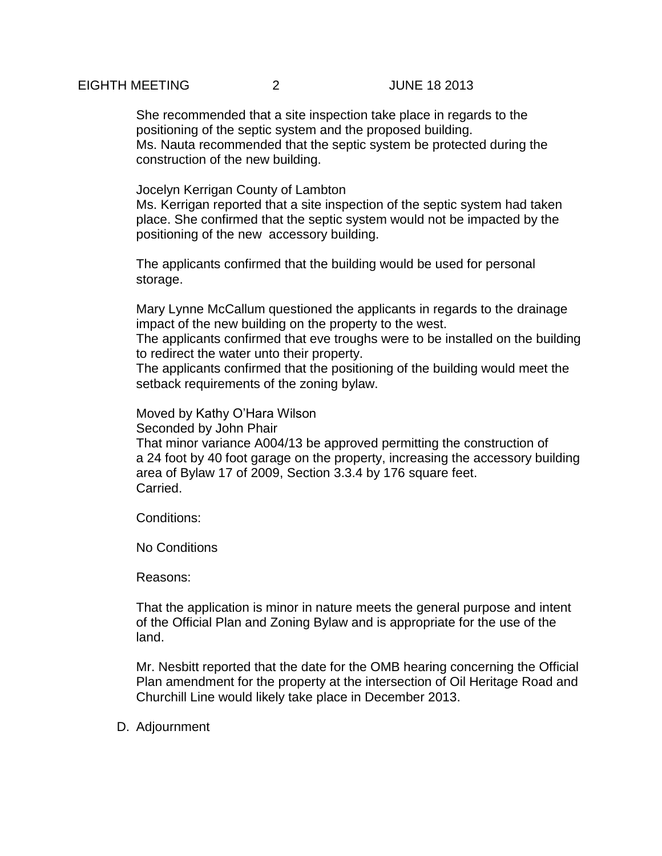#### EIGHTH MEETING 2 JUNE 18 2013

She recommended that a site inspection take place in regards to the positioning of the septic system and the proposed building. Ms. Nauta recommended that the septic system be protected during the construction of the new building.

Jocelyn Kerrigan County of Lambton

Ms. Kerrigan reported that a site inspection of the septic system had taken place. She confirmed that the septic system would not be impacted by the positioning of the new accessory building.

The applicants confirmed that the building would be used for personal storage.

Mary Lynne McCallum questioned the applicants in regards to the drainage impact of the new building on the property to the west.

The applicants confirmed that eve troughs were to be installed on the building to redirect the water unto their property.

The applicants confirmed that the positioning of the building would meet the setback requirements of the zoning bylaw.

Moved by Kathy O'Hara Wilson Seconded by John Phair

That minor variance A004/13 be approved permitting the construction of a 24 foot by 40 foot garage on the property, increasing the accessory building area of Bylaw 17 of 2009, Section 3.3.4 by 176 square feet. Carried.

Conditions:

No Conditions

Reasons:

That the application is minor in nature meets the general purpose and intent of the Official Plan and Zoning Bylaw and is appropriate for the use of the land.

Mr. Nesbitt reported that the date for the OMB hearing concerning the Official Plan amendment for the property at the intersection of Oil Heritage Road and Churchill Line would likely take place in December 2013.

D. Adjournment